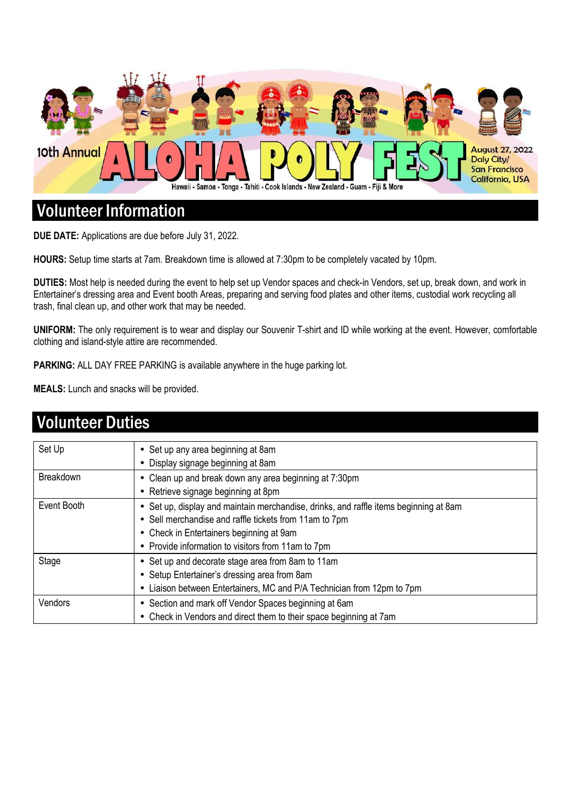

### Volunteer Information

**DUE DATE:** Applications are due before July 31, 2022.

**HOURS:** Setup time starts at 7am. Breakdown time is allowed at 7:30pm to be completely vacated by 10pm.

**DUTIES:** Most help is needed during the event to help set up Vendor spaces and check-in Vendors, set up, break down, and work in Entertainer's dressing area and Event booth Areas, preparing and serving food plates and other items, custodial work recycling all trash, final clean up, and other work that may be needed.

**UNIFORM:** The only requirement is to wear and display our Souvenir T-shirt and ID while working at the event. However, comfortable clothing and island-style attire are recommended.

PARKING: ALL DAY FREE PARKING is available anywhere in the huge parking lot.

**MEALS:** Lunch and snacks will be provided.

| <b>Volunteer Duties</b> |                                                                                                                                                                                                                                                   |  |  |  |
|-------------------------|---------------------------------------------------------------------------------------------------------------------------------------------------------------------------------------------------------------------------------------------------|--|--|--|
| Set Up                  | • Set up any area beginning at 8am<br>• Display signage beginning at 8am                                                                                                                                                                          |  |  |  |
| <b>Breakdown</b>        | • Clean up and break down any area beginning at 7:30pm<br>• Retrieve signage beginning at 8pm                                                                                                                                                     |  |  |  |
| Event Booth             | • Set up, display and maintain merchandise, drinks, and raffle items beginning at 8am<br>• Sell merchandise and raffle tickets from 11am to 7pm<br>• Check in Entertainers beginning at 9am<br>• Provide information to visitors from 11am to 7pm |  |  |  |
| Stage                   | • Set up and decorate stage area from 8am to 11am<br>• Setup Entertainer's dressing area from 8am<br>• Liaison between Entertainers, MC and P/A Technician from 12pm to 7pm                                                                       |  |  |  |
| Vendors                 | • Section and mark off Vendor Spaces beginning at 6am<br>• Check in Vendors and direct them to their space beginning at 7am                                                                                                                       |  |  |  |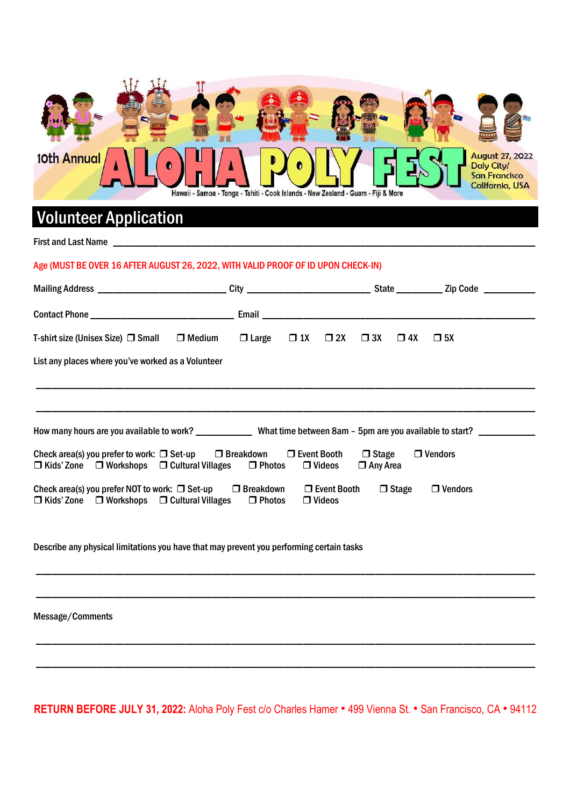

# Volunteer Application

First and Last Name \_\_\_\_\_\_\_\_\_\_\_\_\_\_\_\_\_\_\_\_\_\_\_\_\_\_\_\_\_\_\_\_\_\_\_\_\_\_\_\_\_\_\_\_\_\_\_\_\_\_\_\_\_\_\_\_\_\_\_\_\_\_\_\_\_\_\_\_\_\_\_\_\_\_\_\_\_\_\_\_\_\_

#### Age (MUST BE OVER 16 AFTER AUGUST 26, 2022, WITH VALID PROOF OF ID UPON CHECK-IN)

| T-shirt size (Unisex Size) $\Box$ Small<br>$\Box$ Medium                                                                                                                                                                               | $\Box$ Large | $\Box$ 1X $\Box$ 2X | $\square$ 3X<br>$\square$ 4X | $\square$ 5X |  |  |
|----------------------------------------------------------------------------------------------------------------------------------------------------------------------------------------------------------------------------------------|--------------|---------------------|------------------------------|--------------|--|--|
| List any places where you've worked as a Volunteer                                                                                                                                                                                     |              |                     |                              |              |  |  |
|                                                                                                                                                                                                                                        |              |                     |                              |              |  |  |
|                                                                                                                                                                                                                                        |              |                     |                              |              |  |  |
| How many hours are you available to work? _________________What time between 8am - 5pm are you available to start? ___________                                                                                                         |              |                     |                              |              |  |  |
| Check area(s) you prefer to work: $\Box$ Set-up $\Box$ Breakdown $\Box$ Event Booth<br>$\Box$ Vendors<br>$\Box$ Stage<br>$\Box$ Kids' Zone $\Box$ Workshops $\Box$ Cultural Villages $\Box$ Photos<br>$\Box$ Videos<br>$\Box$ Any Area |              |                     |                              |              |  |  |
| $\Box$ Stage<br>$\Box$ Vendors<br>$\Box$ Event Booth<br>Check area(s) you prefer NOT to work: $\Box$ Set-up<br>$\Box$ Breakdown<br>$\Box$ Kids' Zone $\Box$ Workshops $\Box$ Cultural Villages<br>$\Box$ Photos<br>$\Box$ Videos       |              |                     |                              |              |  |  |

Describe any physical limitations you have that may prevent you performing certain tasks

Message/Comments

**RETURN BEFORE JULY 31, 2022:** Aloha Poly Fest c/o Charles Hamer ● 499 Vienna St. ● San Francisco, CA ● 94112

\_\_\_\_\_\_\_\_\_\_\_\_\_\_\_\_\_\_\_\_\_\_\_\_\_\_\_\_\_\_\_\_\_\_\_\_\_\_\_\_\_\_\_\_\_\_\_\_\_\_\_\_\_\_\_\_\_\_\_\_\_\_\_\_\_\_\_\_\_\_\_\_\_\_\_\_\_\_\_\_\_\_\_\_\_\_\_\_\_\_\_\_\_\_\_\_\_

\_\_\_\_\_\_\_\_\_\_\_\_\_\_\_\_\_\_\_\_\_\_\_\_\_\_\_\_\_\_\_\_\_\_\_\_\_\_\_\_\_\_\_\_\_\_\_\_\_\_\_\_\_\_\_\_\_\_\_\_\_\_\_\_\_\_\_\_\_\_\_\_\_\_\_\_\_\_\_\_\_\_\_\_\_\_\_\_\_\_\_\_\_\_\_\_\_

\_\_\_\_\_\_\_\_\_\_\_\_\_\_\_\_\_\_\_\_\_\_\_\_\_\_\_\_\_\_\_\_\_\_\_\_\_\_\_\_\_\_\_\_\_\_\_\_\_\_\_\_\_\_\_\_\_\_\_\_\_\_\_\_\_\_\_\_\_\_\_\_\_\_\_\_\_\_\_\_\_\_\_\_\_\_\_\_\_\_\_\_\_\_\_\_\_

\_\_\_\_\_\_\_\_\_\_\_\_\_\_\_\_\_\_\_\_\_\_\_\_\_\_\_\_\_\_\_\_\_\_\_\_\_\_\_\_\_\_\_\_\_\_\_\_\_\_\_\_\_\_\_\_\_\_\_\_\_\_\_\_\_\_\_\_\_\_\_\_\_\_\_\_\_\_\_\_\_\_\_\_\_\_\_\_\_\_\_\_\_\_\_\_\_